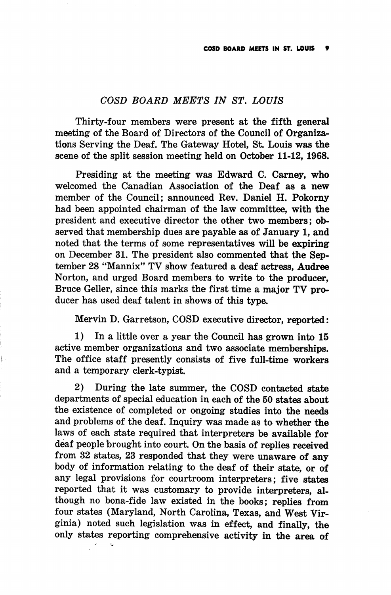## COSD BOARD MEETS IN ST. LOUIS

Thirty-four members were present at the fifth general meeting of the Board of Directors of the Council of Organiza^ tions Serving the Deaf. The Gateway Hotel, St. Louis was the scene of the split session meeting held on October 11-12, 1968.

Presiding at the meeting was Edward C. Carney, who welcomed the Canadian Association of the Deaf as a new member of the Council; announced Rev. Daniel H. Pokorny had been appointed chairman of the law committee, with the president and executive director the other two members; ob served that membership dues are payable as of January 1, and noted that the terms of some representatives will be expiring on December 31. The president also commented that the Sep tember 28 "Mannix" TV show featured a deaf actress, Audree Norton, and urged Board members to write to the producer, Bruce Geller, since this marks the first time a major TV producer has used deaf talent in shows of this type.

Mervin D. Garretson, COSD executive director, reported:

1) In a little over a year the Council has grown into 15 active member organizations and two associate memberships. The office staff presently consists of five full-time workers and a temporary clerk-typist.

2) During the late summer, the COSD contacted state departments of special education in each of the 50 states about the existence of completed or ongoing studies into the needs and problems of the deaf. Inquiry was made as to whether the laws of each state required that interpreters be available for deaf people brought into court. On the basis of replies received from 82 states, 28 responded that they were unaware of any body of information relating to the deaf of their state, or of any legal provisions for courtroom interpreters; five states reported that it was customary to provide interpreters, al though no bona-fide law existed in the books; replies from four states (Maryland, North Carolina, Texas, and West Vir ginia) noted such legislation was in effect, and finally, the only states reporting comprehensive activity in the area of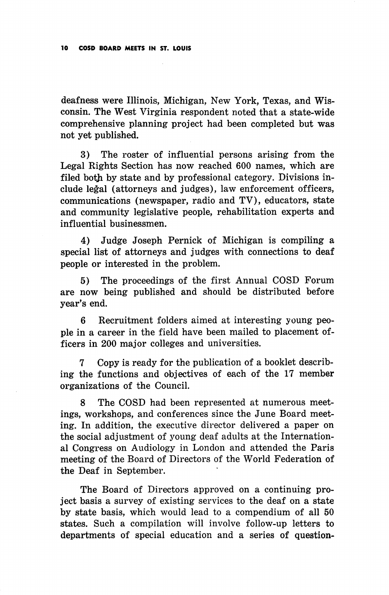deafness were Illinois, Michigan, New York, Texas, and Wis consin. The West Virginia respondent noted that a state-wide comprehensive planning project had been completed but was not yet published.

3) The roster of influential persons arising from the Legal Rights Section has now reached 600 names, which are filed both by state and by professional category. Divisions in clude legal (attorneys and judges), law enforcement officers, communications (newspaper, radio and TV), educators, state and community legislative people, rehabilitation experts and influential businessmen.

4) Judge Joseph Pernick of Michigan is compiling a special list of attorneys and judges with connections to deaf people or interested in the problem.

5) The proceedings of the first Annual COSD Forum are now being published and should be distributed before year's end.

6 Recruitment folders aimed at interesting young peo ple in a career in the field have been mailed to placement of ficers in 200 major colleges and universities.

7 Copy is ready for the publication of a booklet describ ing the functions and objectives of each of the 17 member organizations of the Council.

8 The COSD had been represented at numerous meet ings, workshops, and conferences since the June Board meet ing. In addition, the executive director delivered a paper on the social adjustment of young deaf adults at the Internation al Congress on Audiology in London and attended the Paris meeting of the Board of Directors of the World Federation of the Deaf in September.

The Board of Directors approved on a continuing pro ject basis a survey of existing services to the deaf on a state by state basis, which would lead to a compendium of all 50 states. Such a compilation will involve follow-up letters to departments of special education and a series of question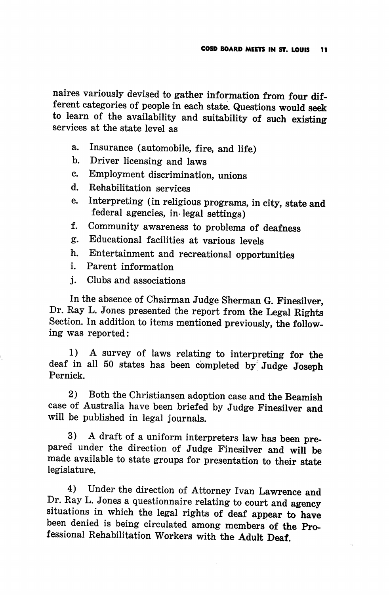naires variously devised to gather information from four dif ferent categories of people in each state. Questions would seek to learn of the availability and suitability of such existing services at the state level as

- a. Insurance (automobile, fire, and life)
- b. Driver licensing and laws
- c. Employment discrimination, unions
- d. Rehabilitation services
- e. Interpreting (in religious programs, in city, state and federal agencies, in-legal settings)
- f. Community awareness to problems of deafness
- g. Educational facilities at various levels
- h. Entertainment and recreational opportunities
- i. Parent information
- j. Clubs and associations

In the absence of Chairman Judge Sherman G. Finesilver, Dr. Ray L. Jones presented the report from the Legal Rights Section. In addition to items mentioned previously, the follow ing was reported:

1) A survey of laws relating to interpreting for the deaf in all 50 states has been completed by" Judge Joseph Pernick.

2) Both the Christiansen adoption case and the Beamish case of Australia have been briefed by Judge Finesilver and will be published in legal journals.

3) A draft of a uniform interpreters law has been pre pared under the direction of Judge Finesilver and will be made available to state groups for presentation to their state legislature.

4) Under the direction of Attorney Ivan Lawrence and Dr. Ray L. Jones a questionnaire relating to court and agency situations in which the legal rights of deaf appear to have been denied is being circulated among members of the Pro fessional Rehabilitation Workers with the Adult Deaf.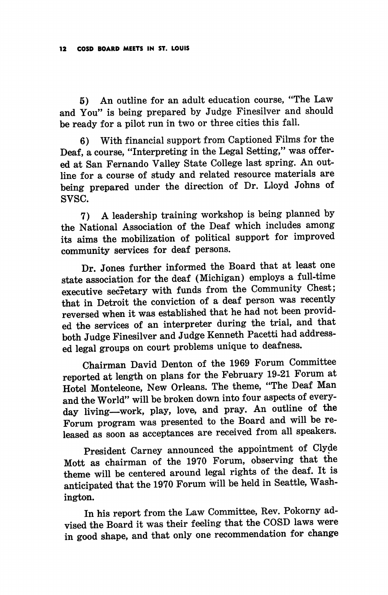5) An outline for an adult education course, "The Law and You" is being prepared by Judge Finesilver and should be ready for a pilot run in two or three cities this fall.

6) With financial support from Captioned Films for the Deaf, a course, "Interpreting in the Legal Setting," was offer ed at San Fernando Valley State College last spring. An out line for a course of study and related resource materials are being prepared under the direction of Dr. Lloyd Johns of svsc.

7) A leadership training workshop is being planned by the National Association of the Deaf which includes among its aims the mobilization of political support for improved community services for deaf persons.

Dr. Jones further informed the Board that at least one state association for the deaf (Michigan) employs a full-time executive secretary with funds from the Community Chest; that in Detroit the conviction of a deaf person was recently reversed when it was established that he had not been provid ed the services of an interpreter during the trial, and that both Judge Finesilver and Judge Kenneth Pacetti had address ed legal groups on court problems unique to deafness.

Chairman David Denton of the 1969 Forum Committee reported at length on plans for the February 19-21 Forum at Hotel Monteleone, New Orleans. The theme, "The Deaf Man and the World" will be broken down into four aspects of every day living—work, play, love, and pray. An outline of the Forum program was presented to the Board and will be re leased as soon as acceptances are received from all speakers.

President Carney announced the appointment of Clyde Mott as chairman of the 1970 Forum, observing that the theme will be centered around legal rights of the deaf. It is anticipated that the 1970 Forum will be held in Seattle, Wash ington.

In his report from the Law Committee, Rev. Pokorny ad vised the Board it was their feeling that the COSD laws were in good shape, and that only one recommendation for change